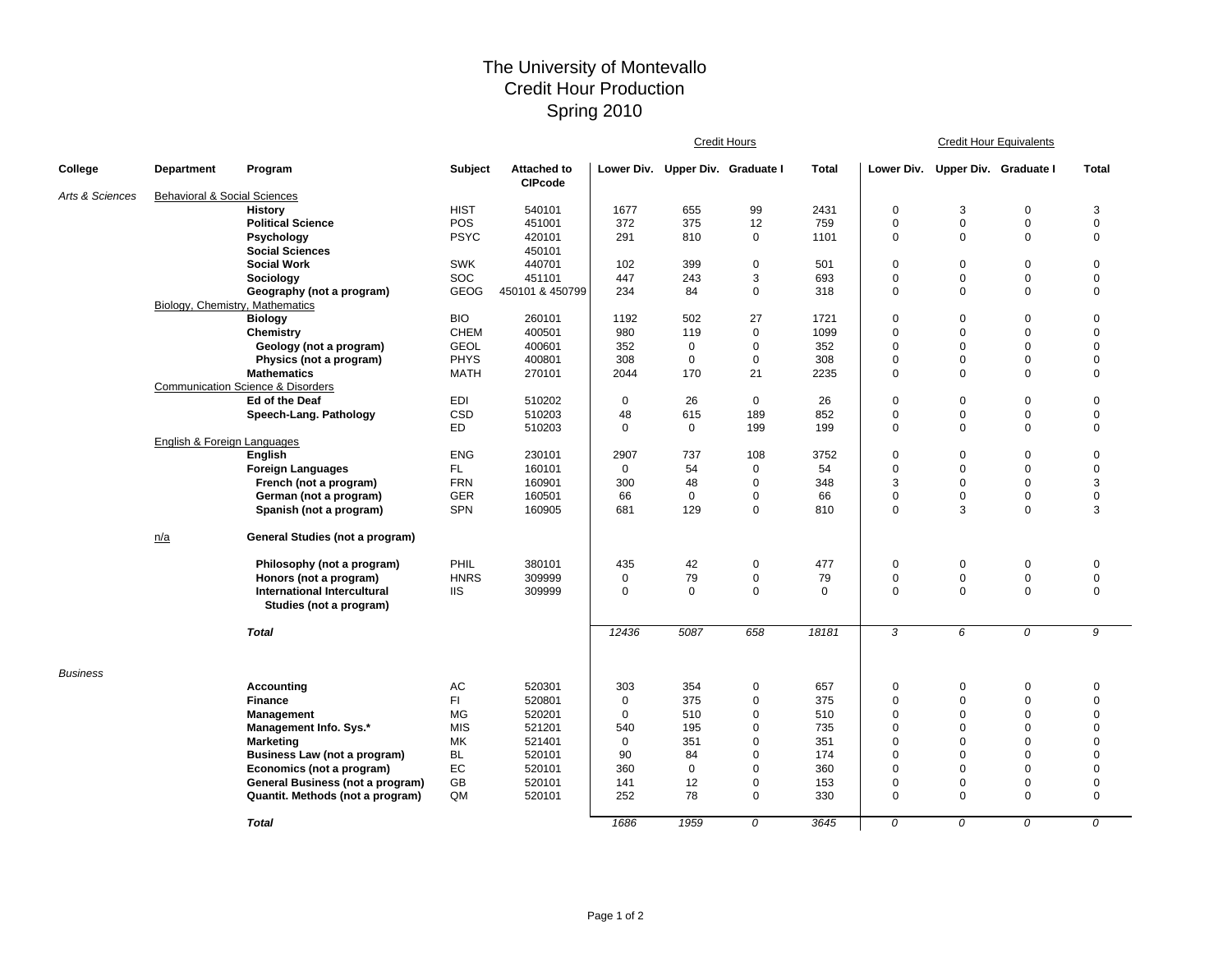## The University of Montevallo Credit Hour Production Spring 2010

|                 |                                                              |                                              |                          |                                      | <b>Credit Hours</b> |                                  |                            |              | <b>Credit Hour Equivalents</b> |                            |                            |                  |  |
|-----------------|--------------------------------------------------------------|----------------------------------------------|--------------------------|--------------------------------------|---------------------|----------------------------------|----------------------------|--------------|--------------------------------|----------------------------|----------------------------|------------------|--|
| College         | Department                                                   | Program                                      | <b>Subject</b>           | <b>Attached to</b><br><b>CIPcode</b> |                     | Lower Div. Upper Div. Graduate I |                            | <b>Total</b> | Lower Div.                     | Upper Div. Graduate I      |                            | <b>Total</b>     |  |
| Arts & Sciences | <b>Behavioral &amp; Social Sciences</b>                      |                                              |                          |                                      |                     |                                  |                            |              |                                |                            |                            |                  |  |
|                 |                                                              | <b>History</b>                               | <b>HIST</b>              | 540101                               | 1677                | 655                              | 99                         | 2431         | 0                              | 3                          | 0                          | 3                |  |
|                 |                                                              | <b>Political Science</b>                     | POS                      | 451001                               | 372                 | 375                              | 12                         | 759          | 0                              | $\mathbf 0$                | $\pmb{0}$                  | $\mathbf 0$      |  |
|                 |                                                              | Psychology                                   | <b>PSYC</b>              | 420101                               | 291                 | 810                              | 0                          | 1101         | 0                              | $\mathbf 0$                | $\mathbf 0$                | $\mathbf 0$      |  |
|                 |                                                              | <b>Social Sciences</b>                       |                          | 450101                               |                     |                                  |                            |              |                                |                            |                            |                  |  |
|                 |                                                              | <b>Social Work</b>                           | <b>SWK</b>               | 440701                               | 102                 | 399                              | $\mathbf 0$                | 501          | 0                              | $\pmb{0}$                  | $\mathsf 0$                | $\mathbf 0$      |  |
|                 |                                                              | Sociology                                    | SOC                      | 451101                               | 447                 | 243                              | 3                          | 693          | 0                              | $\mathbf 0$                | $\mathbf 0$                | $\mathbf 0$      |  |
|                 | Geography (not a program)<br>Biology, Chemistry, Mathematics |                                              | <b>GEOG</b>              | 450101 & 450799                      | 234                 | 84                               | $\mathbf 0$                | 318          | 0                              | $\mathbf 0$                | $\mathbf 0$                | $\mathbf 0$      |  |
|                 |                                                              | <b>Biology</b>                               | <b>BIO</b>               | 260101                               | 1192                | 502                              | 27                         | 1721         | 0                              | $\mathbf 0$                | $\mathbf 0$                | $\mathbf 0$      |  |
|                 |                                                              | Chemistry                                    | <b>CHEM</b>              | 400501                               | 980                 | 119                              | $\mathbf 0$                | 1099         | 0                              | $\mathbf 0$                | $\mathbf 0$                | $\mathbf 0$      |  |
|                 |                                                              | Geology (not a program)                      | <b>GEOL</b>              | 400601                               | 352                 | $\Omega$                         | $\mathbf 0$                | 352          | 0                              | $\mathbf 0$                | $\mathbf 0$                | $\mathbf 0$      |  |
|                 |                                                              | Physics (not a program)                      | <b>PHYS</b>              | 400801                               | 308                 | $\mathbf 0$                      | $\mathbf 0$                | 308          | 0                              | $\mathbf 0$                | $\mathbf 0$                | $\mathbf 0$      |  |
|                 |                                                              | <b>Mathematics</b>                           | <b>MATH</b>              | 270101                               | 2044                | 170                              | 21                         | 2235         | 0                              | $\mathbf 0$                | $\Omega$                   | $\mathbf 0$      |  |
|                 |                                                              | <b>Communication Science &amp; Disorders</b> |                          |                                      |                     |                                  |                            |              |                                |                            |                            |                  |  |
|                 |                                                              | Ed of the Deaf                               | <b>EDI</b>               | 510202                               | 0                   | 26                               | $\mathbf 0$                | 26           | 0                              | $\mathbf 0$                | $\mathbf 0$                | $\mathbf 0$      |  |
|                 |                                                              | Speech-Lang. Pathology                       | CSD                      | 510203                               | 48                  | 615                              | 189                        | 852          | 0                              | $\mathbf 0$                | $\mathbf 0$                | $\mathbf 0$      |  |
|                 |                                                              |                                              | <b>ED</b>                | 510203                               | $\mathbf 0$         | $\mathbf 0$                      | 199                        | 199          | 0                              | $\mathbf 0$                | $\Omega$                   | $\mathbf 0$      |  |
|                 | <b>English &amp; Foreign Languages</b>                       |                                              |                          |                                      |                     |                                  |                            |              |                                |                            |                            |                  |  |
|                 |                                                              | English                                      | <b>ENG</b>               | 230101                               | 2907                | 737                              | 108                        | 3752         | 0                              | $\mathbf 0$<br>$\mathbf 0$ | $\mathbf 0$<br>$\mathbf 0$ | $\mathbf 0$      |  |
|                 |                                                              | <b>Foreign Languages</b>                     | FL.                      | 160101                               | 0                   | 54                               | 0                          | 54           | 0<br>3                         |                            | $\mathbf 0$                | $\mathbf 0$<br>3 |  |
|                 |                                                              | French (not a program)                       | <b>FRN</b><br><b>GER</b> | 160901                               | 300<br>66           | 48<br>$\mathbf 0$                | $\mathbf 0$<br>$\mathbf 0$ | 348<br>66    | 0                              | $\mathbf 0$<br>$\mathbf 0$ | $\mathbf 0$                | $\pmb{0}$        |  |
|                 |                                                              | German (not a program)                       | SPN                      | 160501<br>160905                     | 681                 | 129                              | $\mathbf 0$                | 810          | 0                              | 3                          | $\Omega$                   | 3                |  |
|                 |                                                              | Spanish (not a program)                      |                          |                                      |                     |                                  |                            |              |                                |                            |                            |                  |  |
|                 | n/a                                                          | General Studies (not a program)              |                          |                                      |                     |                                  |                            |              |                                |                            |                            |                  |  |
|                 |                                                              | Philosophy (not a program)                   | PHIL                     | 380101                               | 435                 | 42                               | $\mathbf 0$                | 477          | 0                              | $\pmb{0}$                  | $\pmb{0}$                  | $\mathbf 0$      |  |
|                 |                                                              | Honors (not a program)                       | <b>HNRS</b>              | 309999                               | 0                   | 79                               | $\mathbf 0$                | 79           | 0                              | $\pmb{0}$                  | $\mathsf 0$                | $\mathbf 0$      |  |
|                 |                                                              | <b>International Intercultural</b>           | <b>IIS</b>               | 309999                               | 0                   | $\mathbf 0$                      | $\mathbf 0$                | $\Omega$     | 0                              | $\mathbf 0$                | $\mathbf 0$                | $\mathbf 0$      |  |
|                 |                                                              | Studies (not a program)                      |                          |                                      |                     |                                  |                            |              |                                |                            |                            |                  |  |
|                 |                                                              | <b>Total</b>                                 |                          |                                      | 12436               | 5087                             | 658                        | 18181        | 3                              | 6                          | 0                          | 9                |  |
| <b>Business</b> |                                                              |                                              |                          |                                      |                     |                                  |                            |              |                                |                            |                            |                  |  |
|                 |                                                              | Accounting                                   | AC                       | 520301                               | 303                 | 354                              | 0                          | 657          | 0                              | 0                          | $\pmb{0}$                  | 0                |  |
|                 |                                                              | <b>Finance</b>                               | FI.                      | 520801                               | $\mathbf 0$         | 375                              | $\Omega$                   | 375          | 0                              | $\mathbf 0$                | $\mathbf 0$                | $\mathbf 0$      |  |
|                 |                                                              | Management                                   | MG                       | 520201                               | $\mathbf 0$         | 510                              | $\mathbf 0$                | 510          | 0                              | $\mathbf 0$                | $\mathbf 0$                | $\mathbf 0$      |  |
|                 |                                                              | Management Info. Sys.*                       | <b>MIS</b>               | 521201                               | 540                 | 195                              | $\Omega$                   | 735          | 0                              | $\mathbf 0$                | $\mathbf 0$                | $\mathbf 0$      |  |
|                 |                                                              | <b>Marketing</b>                             | MK                       | 521401                               | $\mathbf 0$         | 351                              | $\mathbf 0$                | 351          | 0                              | $\mathbf 0$                | $\mathbf 0$                | $\mathbf 0$      |  |
|                 |                                                              | Business Law (not a program)                 | <b>BL</b>                | 520101                               | 90                  | 84                               | $\Omega$                   | 174          | 0                              | $\mathbf 0$                | $\mathbf 0$                | $\mathbf 0$      |  |
|                 |                                                              | Economics (not a program)                    | EC                       | 520101                               | 360                 | $\mathbf 0$                      | $\mathbf 0$                | 360          | 0                              | $\mathbf 0$                | $\mathbf 0$                | $\mathbf 0$      |  |
|                 |                                                              | General Business (not a program)             | GB                       | 520101                               | 141                 | 12                               | $\mathbf 0$                | 153          | 0                              | $\mathbf 0$                | $\mathbf 0$                | $\mathbf 0$      |  |
|                 |                                                              | Quantit. Methods (not a program)             | QM                       | 520101                               | 252                 | 78                               | $\mathbf 0$                | 330          | 0                              | $\mathbf 0$                | $\mathbf 0$                | $\mathbf 0$      |  |
|                 |                                                              | <b>Total</b>                                 |                          |                                      | 1686                | 1959                             | 0                          | 3645         | 0                              | 0                          | 0                          | 0                |  |